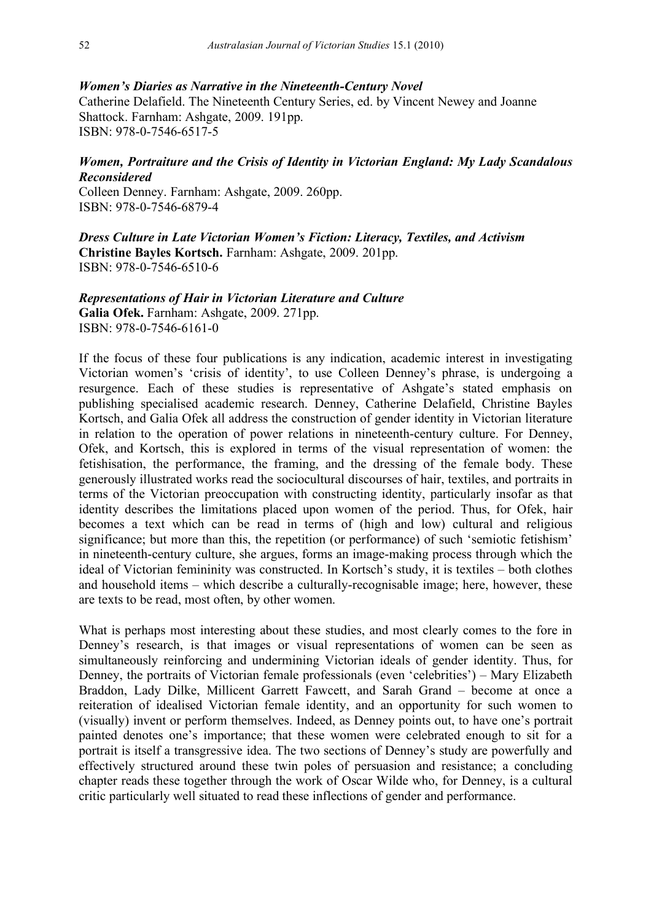## *Women's Diaries as Narrative in the Nineteenth-Century Novel*

Catherine Delafield. The Nineteenth Century Series, ed. by Vincent Newey and Joanne Shattock. Farnham: Ashgate, 2009. 191pp. ISBN: 978-0-7546-6517-5

## *Women, Portraiture and the Crisis of Identity in Victorian England: My Lady Scandalous Reconsidered*

Colleen Denney. Farnham: Ashgate, 2009. 260pp. ISBN: 978-0-7546-6879-4

*Dress Culture in Late Victorian Women's Fiction: Literacy, Textiles, and Activism* **Christine Bayles Kortsch.** Farnham: Ashgate, 2009. 201pp. ISBN: 978-0-7546-6510-6

## *Representations of Hair in Victorian Literature and Culture*

**Galia Ofek.** Farnham: Ashgate, 2009. 271pp. ISBN: 978-0-7546-6161-0

If the focus of these four publications is any indication, academic interest in investigating Victorian women's 'crisis of identity', to use Colleen Denney's phrase, is undergoing a resurgence. Each of these studies is representative of Ashgate's stated emphasis on publishing specialised academic research. Denney, Catherine Delafield, Christine Bayles Kortsch, and Galia Ofek all address the construction of gender identity in Victorian literature in relation to the operation of power relations in nineteenth-century culture. For Denney, Ofek, and Kortsch, this is explored in terms of the visual representation of women: the fetishisation, the performance, the framing, and the dressing of the female body. These generously illustrated works read the sociocultural discourses of hair, textiles, and portraits in terms of the Victorian preoccupation with constructing identity, particularly insofar as that identity describes the limitations placed upon women of the period. Thus, for Ofek, hair becomes a text which can be read in terms of (high and low) cultural and religious significance; but more than this, the repetition (or performance) of such 'semiotic fetishism' in nineteenth-century culture, she argues, forms an image-making process through which the ideal of Victorian femininity was constructed. In Kortsch's study, it is textiles – both clothes and household items – which describe a culturally-recognisable image; here, however, these are texts to be read, most often, by other women.

What is perhaps most interesting about these studies, and most clearly comes to the fore in Denney's research, is that images or visual representations of women can be seen as simultaneously reinforcing and undermining Victorian ideals of gender identity. Thus, for Denney, the portraits of Victorian female professionals (even 'celebrities') – Mary Elizabeth Braddon, Lady Dilke, Millicent Garrett Fawcett, and Sarah Grand – become at once a reiteration of idealised Victorian female identity, and an opportunity for such women to (visually) invent or perform themselves. Indeed, as Denney points out, to have one's portrait painted denotes one's importance; that these women were celebrated enough to sit for a portrait is itself a transgressive idea. The two sections of Denney's study are powerfully and effectively structured around these twin poles of persuasion and resistance; a concluding chapter reads these together through the work of Oscar Wilde who, for Denney, is a cultural critic particularly well situated to read these inflections of gender and performance.